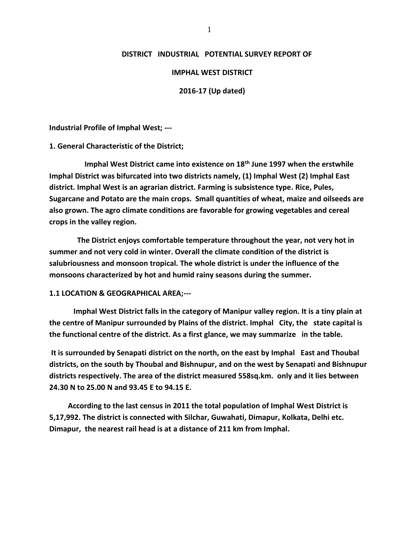#### **DISTRICT INDUSTRIAL POTENTIAL SURVEY REPORT OF**

#### **IMPHAL WEST DISTRICT**

#### **2016-17 (Up dated)**

**Industrial Profile of Imphal West; ---**

**1. General Characteristic of the District;**

 **Imphal West District came into existence on 18th June 1997 when the erstwhile Imphal District was bifurcated into two districts namely, (1) Imphal West (2) Imphal East district. Imphal West is an agrarian district. Farming is subsistence type. Rice, Pules, Sugarcane and Potato are the main crops. Small quantities of wheat, maize and oilseeds are also grown. The agro climate conditions are favorable for growing vegetables and cereal crops in the valley region.**

 **The District enjoys comfortable temperature throughout the year, not very hot in summer and not very cold in winter. Overall the climate condition of the district is salubriousness and monsoon tropical. The whole district is under the influence of the monsoons characterized by hot and humid rainy seasons during the summer.**

#### **1.1 LOCATION & GEOGRAPHICAL AREA;---**

 **Imphal West District falls in the category of Manipur valley region. It is a tiny plain at the centre of Manipur surrounded by Plains of the district. Imphal City, the state capital is the functional centre of the district. As a first glance, we may summarize in the table.**

**It is surrounded by Senapati district on the north, on the east by Imphal East and Thoubal districts, on the south by Thoubal and Bishnupur, and on the west by Senapati and Bishnupur districts respectively. The area of the district measured 558sq.km. only and it lies between 24.30 N to 25.00 N and 93.45 E to 94.15 E.**

 **According to the last census in 2011 the total population of Imphal West District is 5,17,992. The district is connected with Silchar, Guwahati, Dimapur, Kolkata, Delhi etc. Dimapur, the nearest rail head is at a distance of 211 km from Imphal.**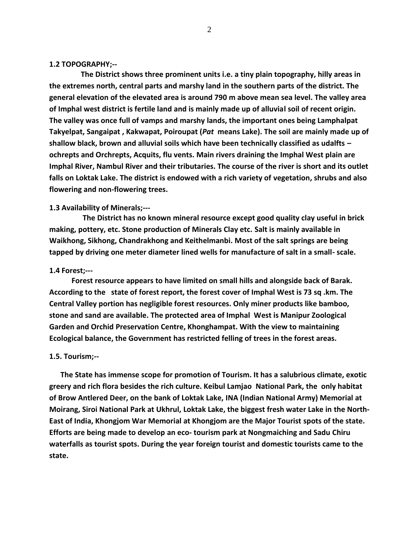#### **1.2 TOPOGRAPHY;--**

 **The District shows three prominent units i.e. a tiny plain topography, hilly areas in the extremes north, central parts and marshy land in the southern parts of the district. The general elevation of the elevated area is around 790 m above mean sea level. The valley area of Imphal west district is fertile land and is mainly made up of alluvial soil of recent origin. The valley was once full of vamps and marshy lands, the important ones being Lamphalpat Takyelpat, Sangaipat , Kakwapat, Poiroupat (***Pat* **means Lake). The soil are mainly made up of shallow black, brown and alluvial soils which have been technically classified as udalfts – ochrepts and Orchrepts, Acquits, flu vents. Main rivers draining the Imphal West plain are Imphal River, Nambul River and their tributaries. The course of the river is short and its outlet falls on Loktak Lake. The district is endowed with a rich variety of vegetation, shrubs and also flowering and non-flowering trees.**

#### **1.3 Availability of Minerals;---**

 **The District has no known mineral resource except good quality clay useful in brick making, pottery, etc. Stone production of Minerals Clay etc. Salt is mainly available in Waikhong, Sikhong, Chandrakhong and Keithelmanbi. Most of the salt springs are being tapped by driving one meter diameter lined wells for manufacture of salt in a small- scale.**

#### **1.4 Forest;---**

 **Forest resource appears to have limited on small hills and alongside back of Barak. According to the state of forest report, the forest cover of Imphal West is 73 sq .km. The Central Valley portion has negligible forest resources. Only miner products like bamboo, stone and sand are available. The protected area of Imphal West is Manipur Zoological Garden and Orchid Preservation Centre, Khonghampat. With the view to maintaining Ecological balance, the Government has restricted felling of trees in the forest areas.**

#### **1.5. Tourism;--**

 **The State has immense scope for promotion of Tourism. It has a salubrious climate, exotic greery and rich flora besides the rich culture. Keibul Lamjao National Park, the only habitat of Brow Antlered Deer, on the bank of Loktak Lake, INA (Indian National Army) Memorial at Moirang, Siroi National Park at Ukhrul, Loktak Lake, the biggest fresh water Lake in the North-East of India, Khongjom War Memorial at Khongjom are the Major Tourist spots of the state. Efforts are being made to develop an eco- tourism park at Nongmaiching and Sadu Chiru waterfalls as tourist spots. During the year foreign tourist and domestic tourists came to the state.**

2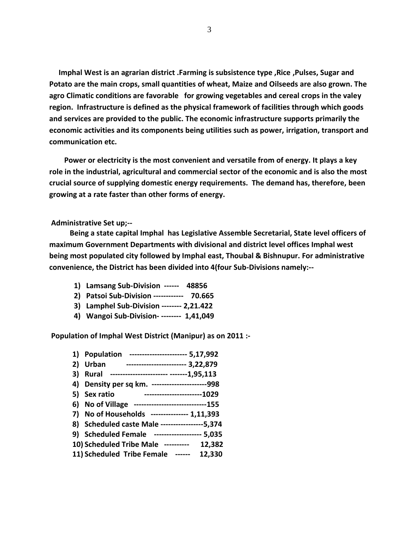**Imphal West is an agrarian district .Farming is subsistence type ,Rice ,Pulses, Sugar and Potato are the main crops, small quantities of wheat, Maize and Oilseeds are also grown. The agro Climatic conditions are favorable for growing vegetables and cereal crops in the valey region. Infrastructure is defined as the physical framework of facilities through which goods and services are provided to the public. The economic infrastructure supports primarily the economic activities and its components being utilities such as power, irrigation, transport and communication etc.**

 **Power or electricity is the most convenient and versatile from of energy. It plays a key role in the industrial, agricultural and commercial sector of the economic and is also the most crucial source of supplying domestic energy requirements. The demand has, therefore, been growing at a rate faster than other forms of energy.**

#### **Administrative Set up;--**

 **Being a state capital Imphal has Legislative Assemble Secretarial, State level officers of maximum Government Departments with divisional and district level offices Imphal west being most populated city followed by Imphal east, Thoubal & Bishnupur. For administrative convenience, the District has been divided into 4(four Sub-Divisions namely:--**

- **1) Lamsang Sub-Division ------ 48856**
- **2) Patsoi Sub-Division ------------ 70.665**
- **3) Lamphel Sub-Division -------- 2,21.422**
- **4) Wangoi Sub-Division- -------- 1,41,049**

**Population of Imphal West District (Manipur) as on 2011 :-**

| 1) | <b>Population</b><br>---------------------- 5,17,992     |
|----|----------------------------------------------------------|
| 2) | ------------------------ 3,22,879<br>Urban               |
| 3) | ------------------------ -------1,95,113<br><b>Rural</b> |
| 4) | Density per sq km. ----------------------998             |
| 5) | ------------------------1029<br>Sex ratio                |
| 6) | No of Village ----------------------------155            |
| 7) | No of Households --------------- 1,11,393                |
|    | 8) Scheduled caste Male ----------------5,374            |
|    | 9) Scheduled Female ------------------ 5,035             |
|    | 10) Scheduled Tribe Male ----------<br>12,382            |
|    | 11) Scheduled Tribe Female ------<br>12,330              |
|    |                                                          |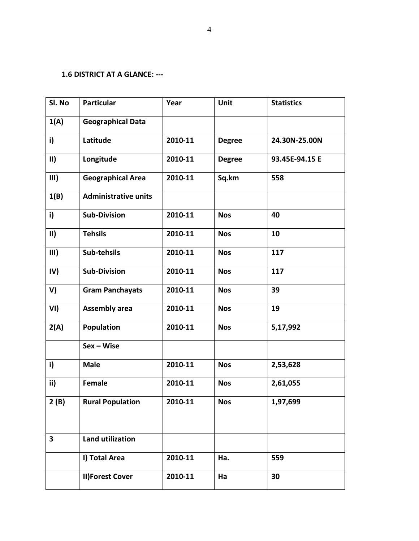### **1.6 DISTRICT AT A GLANCE: ---**

| Sl. No                  | <b>Particular</b>           | Year    | Unit          | <b>Statistics</b> |
|-------------------------|-----------------------------|---------|---------------|-------------------|
| 1(A)                    | <b>Geographical Data</b>    |         |               |                   |
| i)                      | Latitude                    | 2010-11 | <b>Degree</b> | 24.30N-25.00N     |
| $\mathbf{II}$           | Longitude                   | 2010-11 | <b>Degree</b> | 93.45E-94.15 E    |
| III)                    | <b>Geographical Area</b>    | 2010-11 | Sq.km         | 558               |
| 1(B)                    | <b>Administrative units</b> |         |               |                   |
| i)                      | <b>Sub-Division</b>         | 2010-11 | <b>Nos</b>    | 40                |
| $\mathbf{II}$           | <b>Tehsils</b>              | 2010-11 | <b>Nos</b>    | 10                |
| III)                    | Sub-tehsils                 | 2010-11 | <b>Nos</b>    | 117               |
| IV)                     | <b>Sub-Division</b>         | 2010-11 | <b>Nos</b>    | 117               |
| V)                      | <b>Gram Panchayats</b>      | 2010-11 | <b>Nos</b>    | 39                |
| VI)                     | <b>Assembly area</b>        | 2010-11 | <b>Nos</b>    | 19                |
| 2(A)                    | Population                  | 2010-11 | <b>Nos</b>    | 5,17,992          |
|                         | $Sex - Wise$                |         |               |                   |
| i)                      | <b>Male</b>                 | 2010-11 | <b>Nos</b>    | 2,53,628          |
| ii)                     | Female                      | 2010-11 | <b>Nos</b>    | 2,61,055          |
| 2(B)                    | <b>Rural Population</b>     | 2010-11 | <b>Nos</b>    | 1,97,699          |
| $\overline{\mathbf{3}}$ | <b>Land utilization</b>     |         |               |                   |
|                         | I) Total Area               | 2010-11 | Ha.           | 559               |
|                         | <b>II)Forest Cover</b>      | 2010-11 | Ha            | 30                |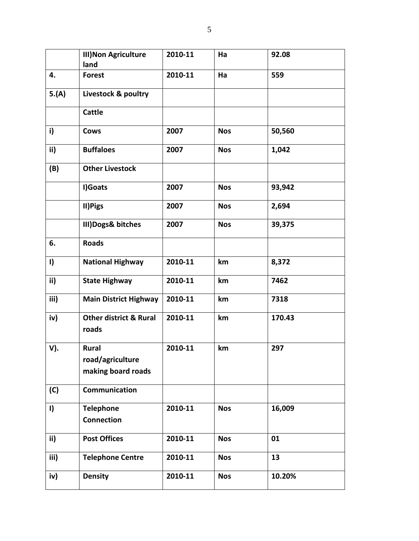|               | <b>III) Non Agriculture</b><br>land                    | 2010-11 | Ha         | 92.08  |
|---------------|--------------------------------------------------------|---------|------------|--------|
| 4.            | <b>Forest</b>                                          | 2010-11 | Ha         | 559    |
| 5.(A)         | Livestock & poultry                                    |         |            |        |
|               | <b>Cattle</b>                                          |         |            |        |
| i)            | Cows                                                   | 2007    | <b>Nos</b> | 50,560 |
| ii)           | <b>Buffaloes</b>                                       | 2007    | <b>Nos</b> | 1,042  |
| (B)           | <b>Other Livestock</b>                                 |         |            |        |
|               | I)Goats                                                | 2007    | <b>Nos</b> | 93,942 |
|               | II) Pigs                                               | 2007    | <b>Nos</b> | 2,694  |
|               | III) Dogs& bitches                                     | 2007    | <b>Nos</b> | 39,375 |
| 6.            | <b>Roads</b>                                           |         |            |        |
| $\mathbf{I}$  | <b>National Highway</b>                                | 2010-11 | km         | 8,372  |
| ii)           | <b>State Highway</b>                                   | 2010-11 | km         | 7462   |
| iii)          | <b>Main District Highway</b>                           | 2010-11 | km         | 7318   |
| iv)           | <b>Other district &amp; Rural</b><br>roads             | 2010-11 | km         | 170.43 |
| V).           | <b>Rural</b><br>road/agriculture<br>making board roads | 2010-11 | km         | 297    |
| (C)           | Communication                                          |         |            |        |
| $\mathbf{I}$  | <b>Telephone</b><br><b>Connection</b>                  | 2010-11 | <b>Nos</b> | 16,009 |
| $\mathbf{ii}$ | <b>Post Offices</b>                                    | 2010-11 | <b>Nos</b> | 01     |
| iii)          | <b>Telephone Centre</b>                                | 2010-11 | <b>Nos</b> | 13     |
| iv)           | <b>Density</b>                                         | 2010-11 | <b>Nos</b> | 10.20% |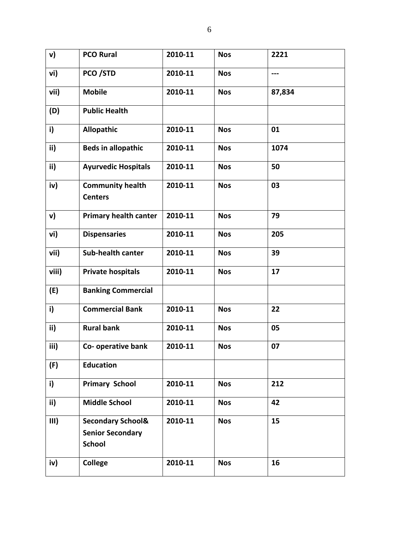| v)    | <b>PCO Rural</b>                                                         | 2010-11 | <b>Nos</b> | 2221   |
|-------|--------------------------------------------------------------------------|---------|------------|--------|
| vi)   | PCO/STD                                                                  | 2010-11 | <b>Nos</b> | ---    |
| vii)  | <b>Mobile</b>                                                            | 2010-11 | <b>Nos</b> | 87,834 |
| (D)   | <b>Public Health</b>                                                     |         |            |        |
| i)    | <b>Allopathic</b>                                                        | 2010-11 | <b>Nos</b> | 01     |
| ii)   | <b>Beds in allopathic</b>                                                | 2010-11 | <b>Nos</b> | 1074   |
| ii)   | <b>Ayurvedic Hospitals</b>                                               | 2010-11 | <b>Nos</b> | 50     |
| iv)   | <b>Community health</b><br><b>Centers</b>                                | 2010-11 | <b>Nos</b> | 03     |
| v)    | <b>Primary health canter</b>                                             | 2010-11 | <b>Nos</b> | 79     |
| vi)   | <b>Dispensaries</b>                                                      | 2010-11 | <b>Nos</b> | 205    |
| vii)  | Sub-health canter                                                        | 2010-11 | <b>Nos</b> | 39     |
| viii) | <b>Private hospitals</b>                                                 | 2010-11 | <b>Nos</b> | 17     |
| (E)   | <b>Banking Commercial</b>                                                |         |            |        |
| i)    | <b>Commercial Bank</b>                                                   | 2010-11 | <b>Nos</b> | 22     |
| ii)   | <b>Rural bank</b>                                                        | 2010-11 | <b>Nos</b> | 05     |
| iii)  | Co- operative bank                                                       | 2010-11 | <b>Nos</b> | 07     |
| (F)   | <b>Education</b>                                                         |         |            |        |
| i)    | <b>Primary School</b>                                                    | 2010-11 | <b>Nos</b> | 212    |
| ii)   | <b>Middle School</b>                                                     | 2010-11 | <b>Nos</b> | 42     |
| III)  | <b>Secondary School&amp;</b><br><b>Senior Secondary</b><br><b>School</b> | 2010-11 | <b>Nos</b> | 15     |
| iv)   | <b>College</b>                                                           | 2010-11 | <b>Nos</b> | 16     |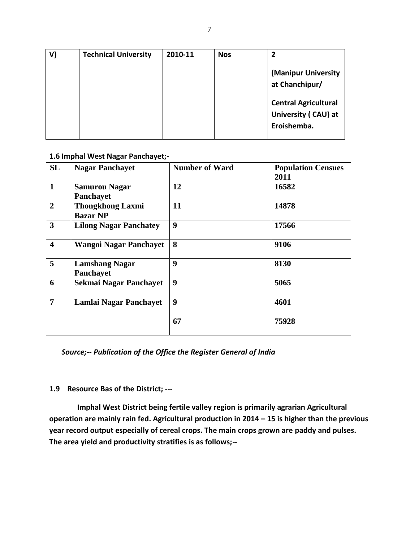| V) | <b>Technical University</b> | 2010-11 | <b>Nos</b> | 2                                                                    |
|----|-----------------------------|---------|------------|----------------------------------------------------------------------|
|    |                             |         |            | (Manipur University<br>at Chanchipur/<br><b>Central Agricultural</b> |
|    |                             |         |            | University (CAU) at                                                  |
|    |                             |         |            | Eroishemba.                                                          |

**1.6 Imphal West Nagar Panchayet;-**

| <b>SL</b>               | <b>Nagar Panchayet</b>                     | <b>Number of Ward</b> | <b>Population Censues</b><br>2011 |
|-------------------------|--------------------------------------------|-----------------------|-----------------------------------|
| $\mathbf{1}$            | <b>Samurou Nagar</b><br>Panchayet          | 12                    | 16582                             |
| $\overline{2}$          | <b>Thongkhong Laxmi</b><br><b>Bazar NP</b> | 11                    | 14878                             |
| $\overline{\mathbf{3}}$ | <b>Lilong Nagar Panchatey</b>              | 9                     | 17566                             |
| $\overline{\mathbf{4}}$ | <b>Wangoi Nagar Panchayet</b>              | 8                     | 9106                              |
| 5                       | <b>Lamshang Nagar</b><br>Panchayet         | 9                     | 8130                              |
| 6                       | <b>Sekmai Nagar Panchayet</b>              | 9                     | 5065                              |
| 7                       | Lamlai Nagar Panchayet                     | 9                     | 4601                              |
|                         |                                            | 67                    | 75928                             |

*Source;-- Publication of the Office the Register General of India*

### **1.9 Resource Bas of the District; ---**

 **Imphal West District being fertile valley region is primarily agrarian Agricultural operation are mainly rain fed. Agricultural production in 2014 – 15 is higher than the previous year record output especially of cereal crops. The main crops grown are paddy and pulses. The area yield and productivity stratifies is as follows;--**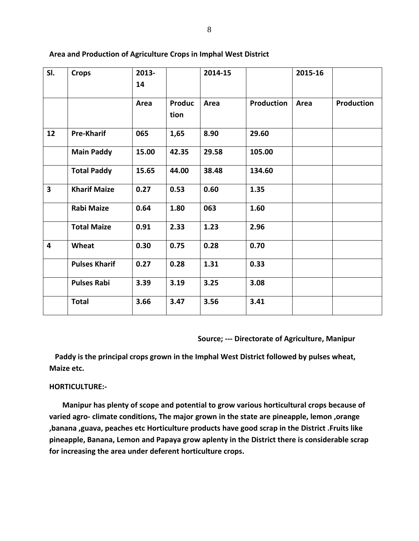| SI.                     | <b>Crops</b>         | 2013- |                | 2014-15 |                   | 2015-16 |                   |
|-------------------------|----------------------|-------|----------------|---------|-------------------|---------|-------------------|
|                         |                      | 14    |                |         |                   |         |                   |
|                         |                      | Area  | Produc<br>tion | Area    | <b>Production</b> | Area    | <b>Production</b> |
| 12                      | <b>Pre-Kharif</b>    | 065   | 1,65           | 8.90    | 29.60             |         |                   |
|                         | <b>Main Paddy</b>    | 15.00 | 42.35          | 29.58   | 105.00            |         |                   |
|                         | <b>Total Paddy</b>   | 15.65 | 44.00          | 38.48   | 134.60            |         |                   |
| $\overline{\mathbf{3}}$ | <b>Kharif Maize</b>  | 0.27  | 0.53           | 0.60    | 1.35              |         |                   |
|                         | <b>Rabi Maize</b>    | 0.64  | 1.80           | 063     | 1.60              |         |                   |
|                         | <b>Total Maize</b>   | 0.91  | 2.33           | 1.23    | 2.96              |         |                   |
| $\overline{\mathbf{4}}$ | Wheat                | 0.30  | 0.75           | 0.28    | 0.70              |         |                   |
|                         | <b>Pulses Kharif</b> | 0.27  | 0.28           | 1.31    | 0.33              |         |                   |
|                         | <b>Pulses Rabi</b>   | 3.39  | 3.19           | 3.25    | 3.08              |         |                   |
|                         | <b>Total</b>         | 3.66  | 3.47           | 3.56    | 3.41              |         |                   |

#### **Area and Production of Agriculture Crops in Imphal West District**

 **Source; --- Directorate of Agriculture, Manipur**

 **Paddy is the principal crops grown in the Imphal West District followed by pulses wheat, Maize etc.**

#### **HORTICULTURE:-**

 **Manipur has plenty of scope and potential to grow various horticultural crops because of varied agro- climate conditions, The major grown in the state are pineapple, lemon ,orange ,banana ,guava, peaches etc Horticulture products have good scrap in the District .Fruits like pineapple, Banana, Lemon and Papaya grow aplenty in the District there is considerable scrap for increasing the area under deferent horticulture crops.**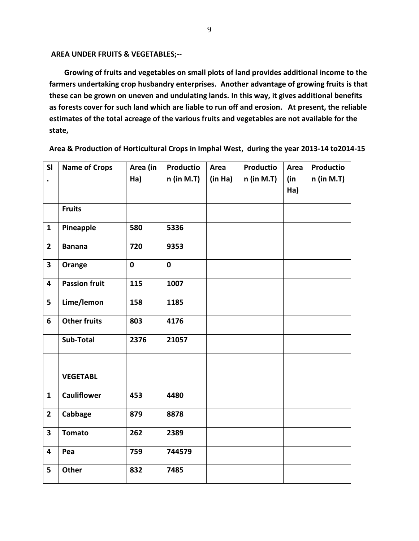**AREA UNDER FRUITS & VEGETABLES;--**

 **Growing of fruits and vegetables on small plots of land provides additional income to the farmers undertaking crop husbandry enterprises. Another advantage of growing fruits is that these can be grown on uneven and undulating lands. In this way, it gives additional benefits as forests cover for such land which are liable to run off and erosion. At present, the reliable estimates of the total acreage of the various fruits and vegetables are not available for the state,** 

| SI                      | <b>Name of Crops</b> | Area (in    | Productio    | Area    | <b>Productio</b> | Area | Productio  |
|-------------------------|----------------------|-------------|--------------|---------|------------------|------|------------|
| $\bullet$               |                      | Ha)         | $n$ (in M.T) | (in Ha) | $n$ (in M.T)     | (in  | n (in M.T) |
|                         |                      |             |              |         |                  | Ha)  |            |
|                         | <b>Fruits</b>        |             |              |         |                  |      |            |
|                         |                      |             |              |         |                  |      |            |
| $\mathbf{1}$            | Pineapple            | 580         | 5336         |         |                  |      |            |
| $\overline{2}$          | <b>Banana</b>        | 720         | 9353         |         |                  |      |            |
| $\overline{\mathbf{3}}$ | Orange               | $\mathbf 0$ | $\mathbf 0$  |         |                  |      |            |
| 4                       | <b>Passion fruit</b> | 115         | 1007         |         |                  |      |            |
| 5                       | Lime/lemon           | 158         | 1185         |         |                  |      |            |
| 6                       | <b>Other fruits</b>  | 803         | 4176         |         |                  |      |            |
|                         | Sub-Total            | 2376        | 21057        |         |                  |      |            |
|                         |                      |             |              |         |                  |      |            |
|                         | <b>VEGETABL</b>      |             |              |         |                  |      |            |
| $\mathbf{1}$            | <b>Cauliflower</b>   | 453         | 4480         |         |                  |      |            |
| $\overline{2}$          | Cabbage              | 879         | 8878         |         |                  |      |            |
| $\overline{\mathbf{3}}$ | <b>Tomato</b>        | 262         | 2389         |         |                  |      |            |
| 4                       | Pea                  | 759         | 744579       |         |                  |      |            |
| 5                       | Other                | 832         | 7485         |         |                  |      |            |

**Area & Production of Horticultural Crops in Imphal West, during the year 2013-14 to2014-15**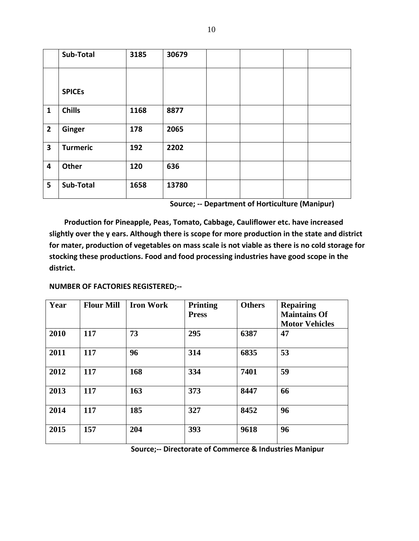|                | Sub-Total       | 3185 | 30679 |  |  |
|----------------|-----------------|------|-------|--|--|
|                |                 |      |       |  |  |
|                | <b>SPICES</b>   |      |       |  |  |
| $\mathbf{1}$   | <b>Chills</b>   | 1168 | 8877  |  |  |
| $\overline{2}$ | Ginger          | 178  | 2065  |  |  |
| 3              | <b>Turmeric</b> | 192  | 2202  |  |  |
| 4              | Other           | 120  | 636   |  |  |
| 5              | Sub-Total       | 1658 | 13780 |  |  |

 **Source; -- Department of Horticulture (Manipur)**

 **Production for Pineapple, Peas, Tomato, Cabbage, Cauliflower etc. have increased slightly over the y ears. Although there is scope for more production in the state and district for mater, production of vegetables on mass scale is not viable as there is no cold storage for stocking these productions. Food and food processing industries have good scope in the district.**

**NUMBER OF FACTORIES REGISTERED;--**

| Year | <b>Flour Mill</b> | <b>Iron Work</b> | <b>Printing</b><br><b>Press</b> | <b>Others</b> | <b>Repairing</b><br><b>Maintains Of</b><br><b>Motor Vehicles</b> |
|------|-------------------|------------------|---------------------------------|---------------|------------------------------------------------------------------|
| 2010 | 117               | 73               | 295                             | 6387          | 47                                                               |
| 2011 | 117               | 96               | 314                             | 6835          | 53                                                               |
| 2012 | 117               | 168              | 334                             | 7401          | 59                                                               |
| 2013 | 117               | 163              | 373                             | 8447          | 66                                                               |
| 2014 | 117               | 185              | 327                             | 8452          | 96                                                               |
| 2015 | 157               | 204              | 393                             | 9618          | 96                                                               |

 **Source;-- Directorate of Commerce & Industries Manipur**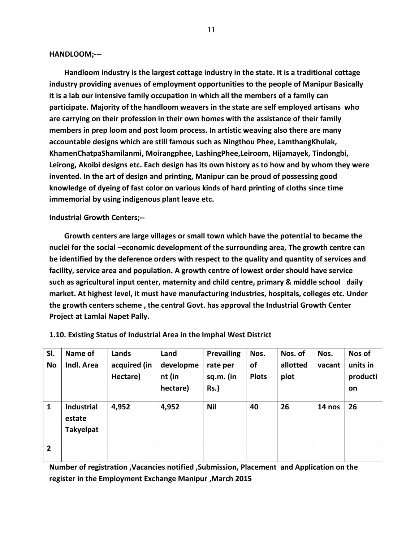**HANDLOOM;---**

 **Handloom industry is the largest cottage industry in the state. It is a traditional cottage industry providing avenues of employment opportunities to the people of Manipur Basically it is a lab our intensive family occupation in which all the members of a family can participate. Majority of the handloom weavers in the state are self employed artisans who are carrying on their profession in their own homes with the assistance of their family members in prep loom and post loom process. In artistic weaving also there are many accountable designs which are still famous such as Ningthou Phee, LamthangKhulak, KhamenChatpaShamilanmi, Moirangphee, LashingPhee,Leiroom, Hijamayek, Tindongbi, Leirong, Akoibi designs etc. Each design has its own history as to how and by whom they were invented. In the art of design and printing, Manipur can be proud of possessing good knowledge of dyeing of fast color on various kinds of hard printing of cloths since time immemorial by using indigenous plant leave etc.**

**Industrial Growth Centers;--**

 **Growth centers are large villages or small town which have the potential to became the nuclei for the social –economic development of the surrounding area, The growth centre can be identified by the deference orders with respect to the quality and quantity of services and facility, service area and population. A growth centre of lowest order should have service such as agricultural input center, maternity and child centre, primary & middle school daily market. At highest level, it must have manufacturing industries, hospitals, colleges etc. Under the growth centers scheme , the central Govt. has approval the Industrial Growth Center Project at Lamlai Napet Pally.**

| SI.<br><b>No</b> | Name of<br>Indl. Area                           | Lands<br>acquired (in<br>Hectare) | Land<br>developme<br>nt (in<br>hectare) | Prevailing<br>rate per<br>sq.m. (in<br>$Rs.$ ) | Nos.<br>of<br><b>Plots</b> | Nos. of<br>allotted<br>plot | Nos.<br>vacant | Nos of<br>units in<br>producti<br>on |
|------------------|-------------------------------------------------|-----------------------------------|-----------------------------------------|------------------------------------------------|----------------------------|-----------------------------|----------------|--------------------------------------|
| $\mathbf{1}$     | <b>Industrial</b><br>estate<br><b>Takyelpat</b> | 4,952                             | 4,952                                   | <b>Nil</b>                                     | 40                         | 26                          | 14 nos         | 26                                   |
| $\overline{2}$   |                                                 |                                   |                                         |                                                |                            |                             |                |                                      |

**1.10. Existing Status of Industrial Area in the Imphal West District**

**Number of registration ,Vacancies notified ,Submission, Placement and Application on the register in the Employment Exchange Manipur ,March 2015**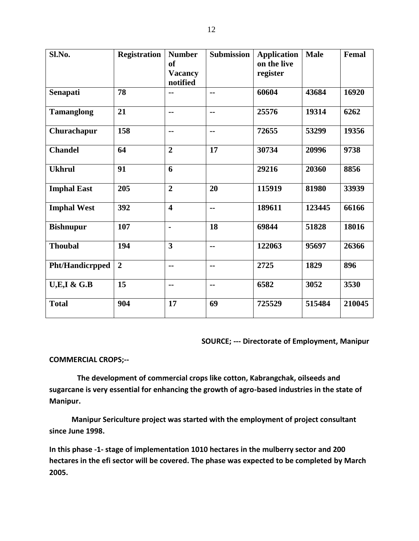| Sl.No.                 | <b>Registration</b> | <b>Number</b><br><sub>of</sub><br><b>Vacancy</b><br>notified | <b>Submission</b> | <b>Application</b><br>on the live<br>register | <b>Male</b> | Femal  |
|------------------------|---------------------|--------------------------------------------------------------|-------------------|-----------------------------------------------|-------------|--------|
| Senapati               | 78                  | --                                                           | --                | 60604                                         | 43684       | 16920  |
| <b>Tamanglong</b>      | 21                  | $\sim$                                                       | $\sim$ $\sim$     | 25576                                         | 19314       | 6262   |
| Churachapur            | 158                 | $\sim$ $\sim$                                                | --                | 72655                                         | 53299       | 19356  |
| <b>Chandel</b>         | 64                  | $\overline{2}$                                               | 17                | 30734                                         | 20996       | 9738   |
| <b>Ukhrul</b>          | 91                  | 6                                                            |                   | 29216                                         | 20360       | 8856   |
| <b>Imphal East</b>     | 205                 | $\overline{2}$                                               | 20                | 115919                                        | 81980       | 33939  |
| <b>Imphal West</b>     | 392                 | $\overline{\mathbf{4}}$                                      | $\sim$ $\sim$     | 189611                                        | 123445      | 66166  |
| <b>Bishnupur</b>       | 107                 | $\blacksquare$                                               | 18                | 69844                                         | 51828       | 18016  |
| <b>Thoubal</b>         | 194                 | 3                                                            | --                | 122063                                        | 95697       | 26366  |
| <b>Pht/Handicrpped</b> | $\overline{2}$      | $\overline{\phantom{a}}$                                     | $\sim$ $\sim$     | 2725                                          | 1829        | 896    |
| <b>U,E,I &amp; G.B</b> | 15                  | $\overline{\phantom{a}}$                                     | --                | 6582                                          | 3052        | 3530   |
| <b>Total</b>           | 904                 | 17                                                           | 69                | 725529                                        | 515484      | 210045 |

 **SOURCE; --- Directorate of Employment, Manipur**

#### **COMMERCIAL CROPS;--**

 **The development of commercial crops like cotton, Kabrangchak, oilseeds and sugarcane is very essential for enhancing the growth of agro-based industries in the state of Manipur.**

 **Manipur Sericulture project was started with the employment of project consultant since June 1998.**

**In this phase -1- stage of implementation 1010 hectares in the mulberry sector and 200 hectares in the efi sector will be covered. The phase was expected to be completed by March 2005.**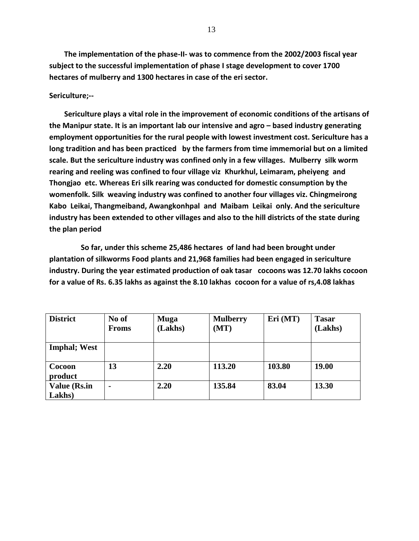**The implementation of the phase-II- was to commence from the 2002/2003 fiscal year subject to the successful implementation of phase I stage development to cover 1700 hectares of mulberry and 1300 hectares in case of the eri sector.**

#### **Sericulture;--**

 **Sericulture plays a vital role in the improvement of economic conditions of the artisans of the Manipur state. It is an important lab our intensive and agro – based industry generating employment opportunities for the rural people with lowest investment cost. Sericulture has a long tradition and has been practiced by the farmers from time immemorial but on a limited scale. But the sericulture industry was confined only in a few villages. Mulberry silk worm rearing and reeling was confined to four village viz Khurkhul, Leimaram, pheiyeng and Thongjao etc. Whereas Eri silk rearing was conducted for domestic consumption by the womenfolk. Silk weaving industry was confined to another four villages viz. Chingmeirong Kabo Leikai, Thangmeiband, Awangkonhpal and Maibam Leikai only. And the sericulture industry has been extended to other villages and also to the hill districts of the state during the plan period**

 **So far, under this scheme 25,486 hectares of land had been brought under plantation of silkworms Food plants and 21,968 families had been engaged in sericulture industry. During the year estimated production of oak tasar cocoons was 12.70 lakhs cocoon for a value of Rs. 6.35 lakhs as against the 8.10 lakhas cocoon for a value of rs,4.08 lakhas**

| <b>District</b>      | No of        | <b>Muga</b> | <b>Mulberry</b> | Eri (MT) | <b>Tasar</b> |
|----------------------|--------------|-------------|-----------------|----------|--------------|
|                      | <b>Froms</b> | (Lakhs)     | (MT)            |          | (Lakhs)      |
|                      |              |             |                 |          |              |
| <b>Imphal</b> ; West |              |             |                 |          |              |
|                      |              |             |                 |          |              |
| Cocoon               | 13           | 2.20        | 113.20          | 103.80   | 19.00        |
| product              |              |             |                 |          |              |
| <b>Value (Rs.in</b>  |              | 2.20        | 135.84          | 83.04    | 13.30        |
| Lakhs)               |              |             |                 |          |              |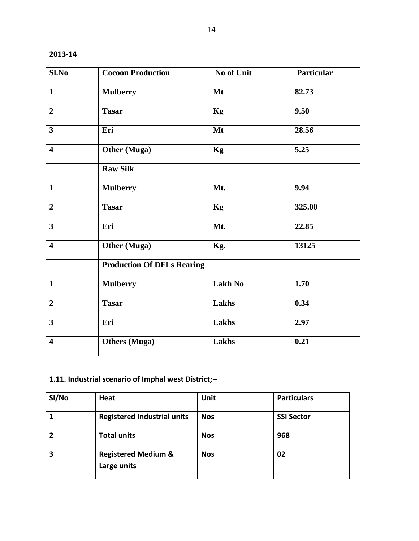| 2013 | D |
|------|---|
|------|---|

| Sl.No                   | <b>Cocoon Production</b>          | No of Unit     | Particular |
|-------------------------|-----------------------------------|----------------|------------|
| $\mathbf{1}$            | <b>Mulberry</b>                   | Mt             | 82.73      |
| $\overline{2}$          | <b>Tasar</b>                      | Kg             | 9.50       |
| $\overline{\mathbf{3}}$ | Eri                               | Mt             | 28.56      |
| $\overline{\mathbf{4}}$ | <b>Other (Muga)</b>               | Kg             | 5.25       |
|                         | <b>Raw Silk</b>                   |                |            |
| $\mathbf{1}$            | <b>Mulberry</b>                   | Mt.            | 9.94       |
| $\overline{2}$          | <b>Tasar</b>                      | Kg             | 325.00     |
| $\overline{\mathbf{3}}$ | Eri                               | Mt.            | 22.85      |
| $\overline{\mathbf{4}}$ | <b>Other (Muga)</b>               | Kg.            | 13125      |
|                         | <b>Production Of DFLs Rearing</b> |                |            |
| $\mathbf{1}$            | <b>Mulberry</b>                   | <b>Lakh No</b> | 1.70       |
| $\overline{2}$          | <b>Tasar</b>                      | Lakhs          | 0.34       |
| $\overline{\mathbf{3}}$ | Eri                               | Lakhs          | 2.97       |
| $\overline{\mathbf{4}}$ | <b>Others</b> (Muga)              | Lakhs          | 0.21       |

# **1.11. Industrial scenario of Imphal west District;--**

| SI/No | Heat                                          | Unit       | <b>Particulars</b> |
|-------|-----------------------------------------------|------------|--------------------|
|       | <b>Registered Industrial units</b>            | <b>Nos</b> | <b>SSI Sector</b>  |
| 2     | <b>Total units</b>                            | <b>Nos</b> | 968                |
| 3     | <b>Registered Medium &amp;</b><br>Large units | <b>Nos</b> | 02                 |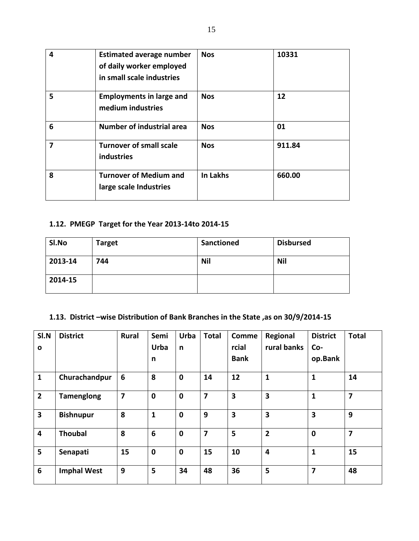| 4 | <b>Estimated average number</b><br>of daily worker employed<br>in small scale industries | <b>Nos</b>      | 10331  |
|---|------------------------------------------------------------------------------------------|-----------------|--------|
| 5 | <b>Employments in large and</b><br>medium industries                                     | <b>Nos</b>      | 12     |
| 6 | <b>Number of industrial area</b>                                                         | <b>Nos</b>      | 01     |
| 7 | <b>Turnover of small scale</b><br><b>industries</b>                                      | <b>Nos</b>      | 911.84 |
| 8 | <b>Turnover of Medium and</b><br>large scale Industries                                  | <b>In Lakhs</b> | 660.00 |

# **1.12. PMEGP Target for the Year 2013-14to 2014-15**

| SI.No   | <b>Target</b> | <b>Sanctioned</b> | <b>Disbursed</b> |
|---------|---------------|-------------------|------------------|
| 2013-14 | 744           | <b>Nil</b>        | <b>Nil</b>       |
| 2014-15 |               |                   |                  |

### **1.13. District –wise Distribution of Bank Branches in the State ,as on 30/9/2014-15**

| SI.N                    | <b>District</b>    | <b>Rural</b>            | Semi            | <b>Urba</b> | <b>Total</b>            | <b>Comme</b>            | Regional                | <b>District</b>  | <b>Total</b>            |
|-------------------------|--------------------|-------------------------|-----------------|-------------|-------------------------|-------------------------|-------------------------|------------------|-------------------------|
| $\mathbf{o}$            |                    |                         | <b>Urba</b>     | n           |                         | rcial                   | rural banks             | Co-              |                         |
|                         |                    |                         | n               |             |                         | <b>Bank</b>             |                         | op.Bank          |                         |
| $\mathbf{1}$            | Churachandpur      | 6                       | 8               | $\mathbf 0$ | 14                      | 12                      | 1                       | 1                | 14                      |
| $\overline{2}$          | <b>Tamenglong</b>  | $\overline{\mathbf{z}}$ | $\mathbf 0$     | $\mathbf 0$ | 7                       | $\overline{\mathbf{3}}$ | $\overline{\mathbf{3}}$ | $\mathbf{1}$     | $\overline{\mathbf{z}}$ |
| $\overline{\mathbf{3}}$ | <b>Bishnupur</b>   | 8                       | $\mathbf{1}$    | $\mathbf 0$ | 9                       | 3                       | 3                       | 3                | 9                       |
| 4                       | <b>Thoubal</b>     | 8                       | $6\phantom{1}6$ | $\mathbf 0$ | $\overline{\mathbf{z}}$ | 5                       | $\overline{2}$          | $\boldsymbol{0}$ | $\overline{7}$          |
| 5                       | Senapati           | 15                      | $\mathbf 0$     | $\mathbf 0$ | 15                      | 10                      | $\overline{4}$          | $\mathbf{1}$     | 15                      |
| $6\phantom{1}6$         | <b>Imphal West</b> | 9                       | 5               | 34          | 48                      | 36                      | 5                       | 7                | 48                      |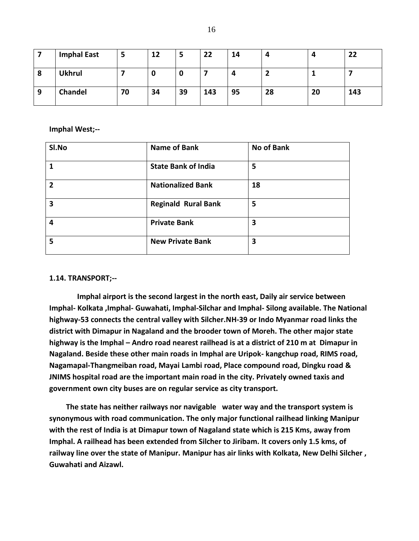|   | <b>Imphal East</b> | 3  | 12 | э  | 22  | 14 | –  |    | 22  |
|---|--------------------|----|----|----|-----|----|----|----|-----|
| 8 | <b>Ukhrul</b>      |    |    | υ  |     |    |    |    |     |
| 9 | <b>Chandel</b>     | 70 | 34 | 39 | 143 | 95 | 28 | 20 | 143 |

#### **Imphal West;--**

| SI.No          | <b>Name of Bank</b>        | <b>No of Bank</b> |
|----------------|----------------------------|-------------------|
| 1              | <b>State Bank of India</b> | 5                 |
| $\overline{2}$ | <b>Nationalized Bank</b>   | 18                |
| 3              | <b>Reginald Rural Bank</b> | 5                 |
| 4              | <b>Private Bank</b>        | 3                 |
| 5              | <b>New Private Bank</b>    | 3                 |

#### **1.14. TRANSPORT;--**

 **Imphal airport is the second largest in the north east, Daily air service between Imphal- Kolkata ,Imphal- Guwahati, Imphal-Silchar and Imphal- Silong available. The National highway-53 connects the central valley with Silcher.NH-39 or Indo Myanmar road links the district with Dimapur in Nagaland and the brooder town of Moreh. The other major state highway is the Imphal – Andro road nearest railhead is at a district of 210 m at Dimapur in Nagaland. Beside these other main roads in Imphal are Uripok- kangchup road, RIMS road, Nagamapal-Thangmeiban road, Mayai Lambi road, Place compound road, Dingku road & JNIMS hospital road are the important main road in the city. Privately owned taxis and government own city buses are on regular service as city transport.**

 **The state has neither railways nor navigable water way and the transport system is synonymous with road communication. The only major functional railhead linking Manipur with the rest of India is at Dimapur town of Nagaland state which is 215 Kms, away from Imphal. A railhead has been extended from Silcher to Jiribam. It covers only 1.5 kms, of railway line over the state of Manipur. Manipur has air links with Kolkata, New Delhi Silcher , Guwahati and Aizawl.**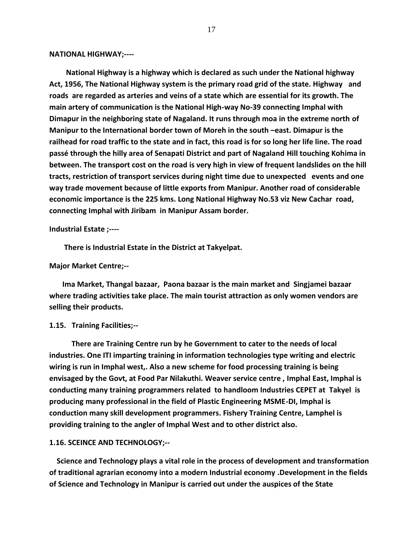#### **NATIONAL HIGHWAY;----**

 **National Highway is a highway which is declared as such under the National highway Act, 1956, The National Highway system is the primary road grid of the state. Highway and roads are regarded as arteries and veins of a state which are essential for its growth. The main artery of communication is the National High-way No-39 connecting Imphal with Dimapur in the neighboring state of Nagaland. It runs through moa in the extreme north of Manipur to the International border town of Moreh in the south –east. Dimapur is the railhead for road traffic to the state and in fact, this road is for so long her life line. The road passé through the hilly area of Senapati District and part of Nagaland Hill touching Kohima in between. The transport cost on the road is very high in view of frequent landslides on the hill tracts, restriction of transport services during night time due to unexpected events and one way trade movement because of little exports from Manipur. Another road of considerable economic importance is the 225 kms. Long National Highway No.53 viz New Cachar road, connecting Imphal with Jiribam in Manipur Assam border.**

**Industrial Estate ;----**

 **There is Industrial Estate in the District at Takyelpat.**

#### **Major Market Centre;--**

 **Ima Market, Thangal bazaar, Paona bazaar is the main market and Singjamei bazaar where trading activities take place. The main tourist attraction as only women vendors are selling their products.**

#### **1.15. Training Facilities;--**

 **There are Training Centre run by he Government to cater to the needs of local industries. One ITI imparting training in information technologies type writing and electric wiring is run in Imphal west,. Also a new scheme for food processing training is being envisaged by the Govt, at Food Par Nilakuthi. Weaver service centre , Imphal East, Imphal is conducting many training programmers related to handloom Industries CEPET at Takyel is producing many professional in the field of Plastic Engineering MSME-DI, Imphal is conduction many skill development programmers. Fishery Training Centre, Lamphel is providing training to the angler of Imphal West and to other district also.**

#### **1.16. SCEINCE AND TECHNOLOGY;--**

 **Science and Technology plays a vital role in the process of development and transformation of traditional agrarian economy into a modern Industrial economy .Development in the fields of Science and Technology in Manipur is carried out under the auspices of the State**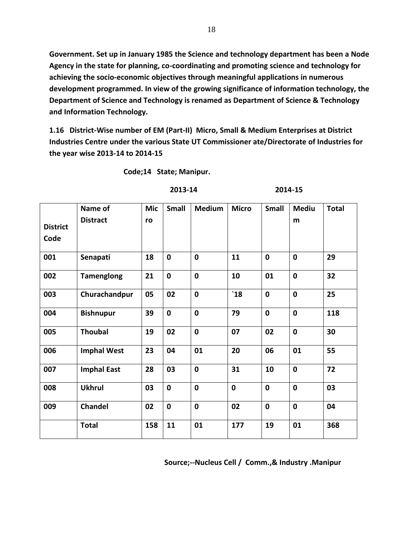**Government. Set up in January 1985 the Science and technology department has been a Node Agency in the state for planning, co-coordinating and promoting science and technology for achieving the socio-economic objectives through meaningful applications in numerous development programmed. In view of the growing significance of information technology, the Department of Science and Technology is renamed as Department of Science & Technology and Information Technology.**

**1.16 District-Wise number of EM (Part-II) Micro, Small & Medium Enterprises at District Industries Centre under the various State UT Commissioner ate/Directorate of Industries for the year wise 2013-14 to 2014-15**

 **Code;14 State; Manipur.**

#### **2013-14 2014-15**

|                         | Name of            | <b>Mic</b> | <b>Small</b> | <b>Medium</b> | <b>Micro</b> | <b>Small</b> | <b>Mediu</b> | <b>Total</b> |
|-------------------------|--------------------|------------|--------------|---------------|--------------|--------------|--------------|--------------|
| <b>District</b><br>Code | <b>Distract</b>    | ro         |              |               |              |              | m            |              |
| 001                     | Senapati           | 18         | $\mathbf 0$  | $\mathbf 0$   | 11           | $\mathbf 0$  | $\mathbf 0$  | 29           |
| 002                     | <b>Tamenglong</b>  | 21         | $\mathbf 0$  | $\mathbf 0$   | 10           | 01           | $\mathbf 0$  | 32           |
| 003                     | Churachandpur      | 05         | 02           | $\mathbf 0$   | $^{\circ}18$ | $\mathbf 0$  | $\mathbf 0$  | 25           |
| 004                     | <b>Bishnupur</b>   | 39         | $\mathbf 0$  | $\mathbf 0$   | 79           | $\mathbf{0}$ | $\mathbf 0$  | 118          |
| 005                     | <b>Thoubal</b>     | 19         | 02           | $\mathbf 0$   | 07           | 02           | $\mathbf 0$  | 30           |
| 006                     | <b>Imphal West</b> | 23         | 04           | 01            | 20           | 06           | 01           | 55           |
| 007                     | <b>Imphal East</b> | 28         | 03           | $\mathbf 0$   | 31           | 10           | $\mathbf 0$  | 72           |
| 008                     | <b>Ukhrul</b>      | 03         | $\mathbf 0$  | $\mathbf 0$   | $\mathbf 0$  | $\mathbf 0$  | $\mathbf 0$  | 03           |
| 009                     | <b>Chandel</b>     | 02         | $\mathbf 0$  | $\mathbf 0$   | 02           | $\mathbf 0$  | $\mathbf 0$  | 04           |
|                         | <b>Total</b>       | 158        | 11           | 01            | 177          | 19           | 01           | 368          |

#### **Source;--Nucleus Cell / Comm.,& Industry .Manipur**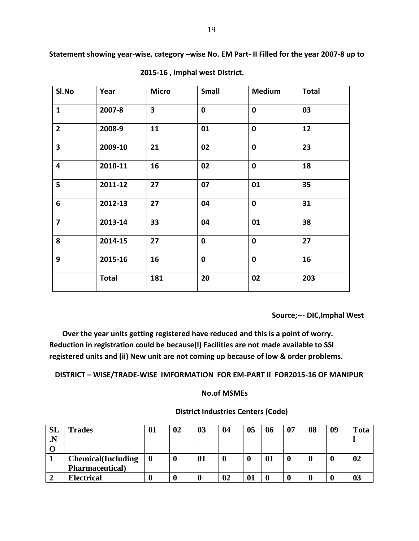**Statement showing year-wise, category –wise No. EM Part- II Filled for the year 2007-8 up to** 

| SI.No                   | Year         | <b>Micro</b>            | <b>Small</b> | <b>Medium</b> | <b>Total</b> |
|-------------------------|--------------|-------------------------|--------------|---------------|--------------|
| $\mathbf{1}$            | 2007-8       | $\overline{\mathbf{3}}$ | $\mathbf 0$  | $\mathbf 0$   | 03           |
| $\overline{2}$          | 2008-9       | 11                      | 01           | $\mathbf 0$   | 12           |
| $\overline{\mathbf{3}}$ | 2009-10      | 21                      | 02           | $\mathbf 0$   | 23           |
| $\overline{\mathbf{4}}$ | 2010-11      | 16                      | 02           | $\mathbf 0$   | 18           |
| 5                       | 2011-12      | 27                      | 07           | 01            | 35           |
| $6\phantom{1}$          | 2012-13      | 27                      | 04           | $\mathbf 0$   | 31           |
| $\overline{\mathbf{z}}$ | 2013-14      | 33                      | 04           | 01            | 38           |
| 8                       | 2014-15      | 27                      | $\mathbf 0$  | $\mathbf 0$   | 27           |
| 9                       | 2015-16      | 16                      | $\mathbf 0$  | $\mathbf 0$   | 16           |
|                         | <b>Total</b> | 181                     | 20           | 02            | 203          |

 **2015-16 , Imphal west District.**

 **Source;--- DIC,Imphal West**

 **Over the year units getting registered have reduced and this is a point of worry. Reduction in registration could be because(I) Facilities are not made available to SSI registered units and (ii) New unit are not coming up because of low & order problems.**

 **DISTRICT – WISE/TRADE-WISE IMFORMATION FOR EM-PART II FOR2015-16 OF MANIPUR**

### **No.of MSMEs**

| SL<br>$\cdot$ N | <b>Trades</b>              | 01 | 02 | 03 | 04 | 05 | 06 | 07 | 08 | 09 | <b>Tota</b> |
|-----------------|----------------------------|----|----|----|----|----|----|----|----|----|-------------|
|                 | <b>Chemical</b> (Including |    |    | 01 |    | O  | 01 |    |    |    | 02          |
|                 | <b>Pharmaceutical</b> )    |    |    |    |    |    |    |    |    |    |             |
|                 | <b>Electrical</b>          |    |    |    | 02 |    |    |    |    |    |             |

### **District Industries Centers (Code)**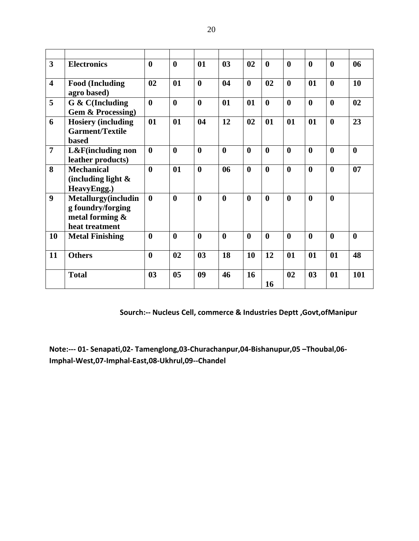| $\overline{\mathbf{3}}$ | <b>Electronics</b>                                                               | $\mathbf{0}$     | $\mathbf{0}$     | 01               | 03               | 02               | $\mathbf{0}$     | $\boldsymbol{0}$ | $\boldsymbol{0}$ | $\bf{0}$         | 06               |
|-------------------------|----------------------------------------------------------------------------------|------------------|------------------|------------------|------------------|------------------|------------------|------------------|------------------|------------------|------------------|
| $\overline{\mathbf{4}}$ | <b>Food (Including</b><br>agro based)                                            | 02               | 01               | $\boldsymbol{0}$ | 04               | $\boldsymbol{0}$ | 02               | $\boldsymbol{0}$ | 01               | $\bf{0}$         | 10               |
| 5                       | G & C(Including<br><b>Gem &amp; Processing)</b>                                  | $\mathbf{0}$     | $\mathbf{0}$     | $\boldsymbol{0}$ | 01               | 01               | $\mathbf{0}$     | $\boldsymbol{0}$ | $\boldsymbol{0}$ | $\bf{0}$         | 02               |
| 6                       | <b>Hosiery (including</b><br><b>Garment/Textile</b><br><b>based</b>              | 01               | 01               | 04               | 12               | 02               | 01               | 01               | 01               | $\boldsymbol{0}$ | 23               |
| $\overline{7}$          | L&F(including non<br>leather products)                                           | $\mathbf{0}$     | $\boldsymbol{0}$ | $\boldsymbol{0}$ | $\boldsymbol{0}$ | $\boldsymbol{0}$ | $\boldsymbol{0}$ | $\boldsymbol{0}$ | $\boldsymbol{0}$ | $\boldsymbol{0}$ | $\boldsymbol{0}$ |
| 8                       | <b>Mechanical</b><br>(including light $\&$<br>HeavyEngg.)                        | $\bf{0}$         | 01               | $\boldsymbol{0}$ | 06               | $\boldsymbol{0}$ | $\boldsymbol{0}$ | $\boldsymbol{0}$ | $\bf{0}$         | $\bf{0}$         | 07               |
| 9                       | Metallurgy(includin<br>g foundry/forging<br>metal forming $\&$<br>heat treatment | $\boldsymbol{0}$ | $\boldsymbol{0}$ | $\boldsymbol{0}$ | $\boldsymbol{0}$ | $\boldsymbol{0}$ | $\boldsymbol{0}$ | $\mathbf{0}$     | $\boldsymbol{0}$ | $\mathbf{0}$     |                  |
| 10                      | <b>Metal Finishing</b>                                                           | $\bf{0}$         | $\boldsymbol{0}$ | $\boldsymbol{0}$ | $\boldsymbol{0}$ | $\boldsymbol{0}$ | $\boldsymbol{0}$ | $\mathbf{0}$     | $\boldsymbol{0}$ | $\mathbf{0}$     | $\mathbf{0}$     |
| 11                      | <b>Others</b>                                                                    | $\bf{0}$         | 02               | 0 <sub>3</sub>   | 18               | 10               | 12               | 01               | 01               | 01               | 48               |
|                         | <b>Total</b>                                                                     | 03               | 0 <sub>5</sub>   | 09               | 46               | 16               | 16               | 02               | 0 <sub>3</sub>   | 01               | 101              |

 **Sourch:-- Nucleus Cell, commerce & Industries Deptt ,Govt,ofManipur**

**Note:--- 01- Senapati,02- Tamenglong,03-Churachanpur,04-Bishanupur,05 –Thoubal,06- Imphal-West,07-Imphal-East,08-Ukhrul,09--Chandel**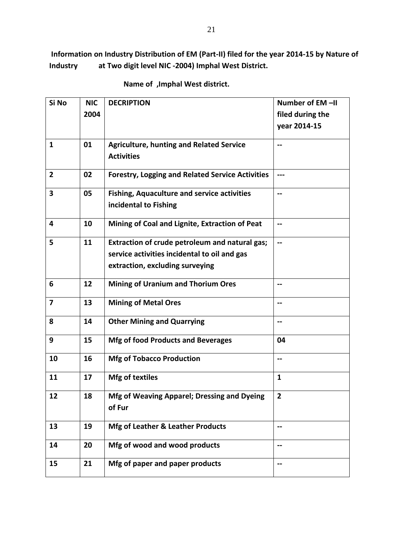**Information on Industry Distribution of EM (Part-II) filed for the year 2014-15 by Nature of Industry at Two digit level NIC -2004) Imphal West District.**

| Si No                   | <b>NIC</b> | <b>DECRIPTION</b>                                       | Number of EM-II          |
|-------------------------|------------|---------------------------------------------------------|--------------------------|
|                         | 2004       |                                                         | filed during the         |
|                         |            |                                                         | year 2014-15             |
|                         |            |                                                         |                          |
| $\mathbf{1}$            | 01         | <b>Agriculture, hunting and Related Service</b>         | --                       |
|                         |            | <b>Activities</b>                                       |                          |
| $\overline{2}$          | 02         | <b>Forestry, Logging and Related Service Activities</b> | ---                      |
| 3                       | 05         | <b>Fishing, Aquaculture and service activities</b>      | --                       |
|                         |            | incidental to Fishing                                   |                          |
|                         |            |                                                         |                          |
| 4                       | 10         | Mining of Coal and Lignite, Extraction of Peat          | --                       |
| 5                       | 11         | Extraction of crude petroleum and natural gas;          | $\overline{\phantom{a}}$ |
|                         |            | service activities incidental to oil and gas            |                          |
|                         |            |                                                         |                          |
|                         |            | extraction, excluding surveying                         |                          |
| 6                       | 12         | <b>Mining of Uranium and Thorium Ores</b>               | --                       |
| $\overline{\mathbf{z}}$ | 13         | <b>Mining of Metal Ores</b>                             | --                       |
| 8                       | 14         | <b>Other Mining and Quarrying</b>                       | --                       |
| 9                       |            |                                                         |                          |
|                         | 15         | <b>Mfg of food Products and Beverages</b>               | 04                       |
| 10                      | 16         | <b>Mfg of Tobacco Production</b>                        | --                       |
|                         |            |                                                         |                          |
| 11                      | 17         | <b>Mfg of textiles</b>                                  | 1                        |
| 12                      | 18         | Mfg of Weaving Apparel; Dressing and Dyeing             | $\overline{\mathbf{2}}$  |
|                         |            | of Fur                                                  |                          |
|                         |            |                                                         |                          |
| 13                      | 19         | Mfg of Leather & Leather Products                       | --                       |
| 14                      | 20         | Mfg of wood and wood products                           | --                       |
| 15                      | 21         | Mfg of paper and paper products                         | --                       |

 **Name of ,Imphal West district.**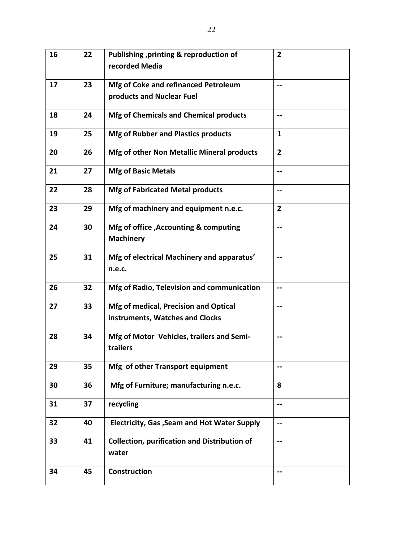| 16 | 22 | Publishing , printing & reproduction of                      | $\overline{2}$ |
|----|----|--------------------------------------------------------------|----------------|
|    |    | recorded Media                                               |                |
| 17 | 23 | Mfg of Coke and refinanced Petroleum                         |                |
|    |    | products and Nuclear Fuel                                    |                |
| 18 | 24 | <b>Mfg of Chemicals and Chemical products</b>                | --             |
| 19 | 25 | <b>Mfg of Rubber and Plastics products</b>                   | 1              |
| 20 | 26 | Mfg of other Non Metallic Mineral products                   | $\overline{2}$ |
| 21 | 27 | <b>Mfg of Basic Metals</b>                                   |                |
| 22 | 28 | <b>Mfg of Fabricated Metal products</b>                      | --             |
| 23 | 29 | Mfg of machinery and equipment n.e.c.                        | $\overline{2}$ |
| 24 | 30 | Mfg of office , Accounting & computing                       | --             |
|    |    | <b>Machinery</b>                                             |                |
| 25 | 31 | Mfg of electrical Machinery and apparatus'                   |                |
|    |    | n.e.c.                                                       |                |
| 26 | 32 | Mfg of Radio, Television and communication                   |                |
| 27 | 33 | Mfg of medical, Precision and Optical                        |                |
|    |    | instruments, Watches and Clocks                              |                |
| 28 | 34 | Mfg of Motor Vehicles, trailers and Semi-                    |                |
|    |    | trailers                                                     |                |
| 29 | 35 | Mfg of other Transport equipment                             | --             |
| 30 | 36 | Mfg of Furniture; manufacturing n.e.c.                       | 8              |
| 31 | 37 | recycling                                                    | --             |
| 32 | 40 | Electricity, Gas, Seam and Hot Water Supply                  | --             |
| 33 | 41 | <b>Collection, purification and Distribution of</b><br>water | --             |
| 34 | 45 | Construction                                                 | --             |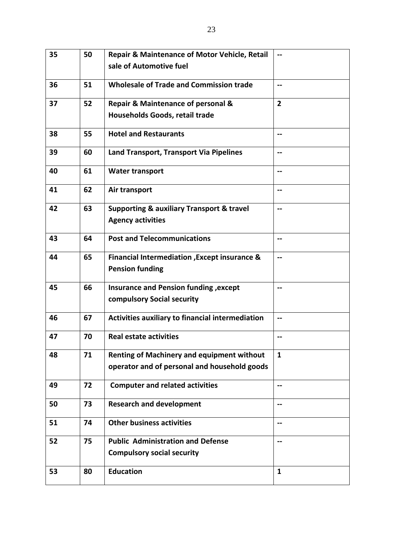| 35 | 50 | <b>Repair &amp; Maintenance of Motor Vehicle, Retail</b> | $\overline{\phantom{a}}$ |
|----|----|----------------------------------------------------------|--------------------------|
|    |    | sale of Automotive fuel                                  |                          |
| 36 | 51 | <b>Wholesale of Trade and Commission trade</b>           | --                       |
| 37 | 52 | <b>Repair &amp; Maintenance of personal &amp;</b>        | $\overline{2}$           |
|    |    | Households Goods, retail trade                           |                          |
| 38 | 55 | <b>Hotel and Restaurants</b>                             | --                       |
| 39 | 60 | Land Transport, Transport Via Pipelines                  | $- -$                    |
| 40 | 61 | <b>Water transport</b>                                   | --                       |
| 41 | 62 | Air transport                                            | --                       |
| 42 | 63 | <b>Supporting &amp; auxiliary Transport &amp; travel</b> | --                       |
|    |    | <b>Agency activities</b>                                 |                          |
| 43 | 64 | <b>Post and Telecommunications</b>                       | --                       |
| 44 | 65 | <b>Financial Intermediation , Except insurance &amp;</b> | --                       |
|    |    | <b>Pension funding</b>                                   |                          |
| 45 | 66 | Insurance and Pension funding, except                    | --                       |
|    |    | compulsory Social security                               |                          |
| 46 | 67 | Activities auxiliary to financial intermediation         | $\overline{\phantom{m}}$ |
| 47 | 70 | <b>Real estate activities</b>                            | --                       |
| 48 | 71 | <b>Renting of Machinery and equipment without</b>        | $\mathbf{1}$             |
|    |    | operator and of personal and household goods             |                          |
| 49 | 72 | <b>Computer and related activities</b>                   |                          |
| 50 | 73 | <b>Research and development</b>                          | $\overline{\phantom{a}}$ |
| 51 | 74 | <b>Other business activities</b>                         | --                       |
| 52 | 75 | <b>Public Administration and Defense</b>                 | --                       |
|    |    | <b>Compulsory social security</b>                        |                          |
| 53 | 80 | <b>Education</b>                                         | $\mathbf{1}$             |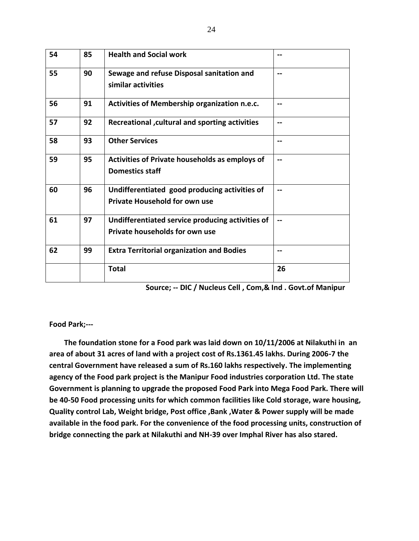| 54 | 85 | <b>Health and Social work</b>                                                         |     |
|----|----|---------------------------------------------------------------------------------------|-----|
| 55 | 90 | Sewage and refuse Disposal sanitation and<br>similar activities                       |     |
| 56 | 91 | Activities of Membership organization n.e.c.                                          |     |
| 57 | 92 | Recreational , cultural and sporting activities                                       |     |
| 58 | 93 | <b>Other Services</b>                                                                 |     |
| 59 | 95 | Activities of Private households as employs of<br><b>Domestics staff</b>              |     |
| 60 | 96 | Undifferentiated good producing activities of<br><b>Private Household for own use</b> | $-$ |
| 61 | 97 | Undifferentiated service producing activities of<br>Private households for own use    |     |
| 62 | 99 | <b>Extra Territorial organization and Bodies</b>                                      |     |
|    |    | <b>Total</b>                                                                          | 26  |

|  |  |  | Source; -- DIC / Nucleus Cell, Com,& Ind. Govt.of Manipur |
|--|--|--|-----------------------------------------------------------|
|--|--|--|-----------------------------------------------------------|

#### **Food Park;---**

 **The foundation stone for a Food park was laid down on 10/11/2006 at Nilakuthi in an area of about 31 acres of land with a project cost of Rs.1361.45 lakhs. During 2006-7 the central Government have released a sum of Rs.160 lakhs respectively. The implementing agency of the Food park project is the Manipur Food industries corporation Ltd. The state Government is planning to upgrade the proposed Food Park into Mega Food Park. There will be 40-50 Food processing units for which common facilities like Cold storage, ware housing, Quality control Lab, Weight bridge, Post office ,Bank ,Water & Power supply will be made available in the food park. For the convenience of the food processing units, construction of bridge connecting the park at Nilakuthi and NH-39 over Imphal River has also stared.**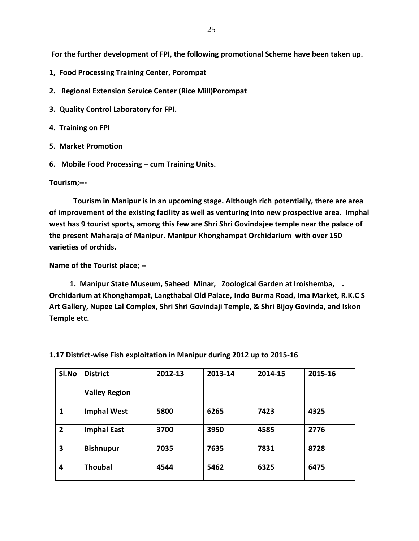**For the further development of FPI, the following promotional Scheme have been taken up.**

- **1, Food Processing Training Center, Porompat**
- **2. Regional Extension Service Center (Rice Mill)Porompat**
- **3. Quality Control Laboratory for FPI.**
- **4. Training on FPI**
- **5. Market Promotion**
- **6. Mobile Food Processing – cum Training Units.**

#### **Tourism;---**

 **Tourism in Manipur is in an upcoming stage. Although rich potentially, there are area of improvement of the existing facility as well as venturing into new prospective area. Imphal west has 9 tourist sports, among this few are Shri Shri Govindajee temple near the palace of the present Maharaja of Manipur. Manipur Khonghampat Orchidarium with over 150 varieties of orchids.**

**Name of the Tourist place; --**

 **1. Manipur State Museum, Saheed Minar, Zoological Garden at Iroishemba, . Orchidarium at Khonghampat, Langthabal Old Palace, Indo Burma Road, Ima Market, R.K.C S Art Gallery, Nupee Lal Complex, Shri Shri Govindaji Temple, & Shri Bijoy Govinda, and Iskon Temple etc.**

| SI.No                   | <b>District</b>      | 2012-13 | 2013-14 | 2014-15 | 2015-16 |
|-------------------------|----------------------|---------|---------|---------|---------|
|                         | <b>Valley Region</b> |         |         |         |         |
| 1                       | <b>Imphal West</b>   | 5800    | 6265    | 7423    | 4325    |
| $\overline{2}$          | <b>Imphal East</b>   | 3700    | 3950    | 4585    | 2776    |
| 3                       | <b>Bishnupur</b>     | 7035    | 7635    | 7831    | 8728    |
| $\overline{\mathbf{4}}$ | <b>Thoubal</b>       | 4544    | 5462    | 6325    | 6475    |

#### **1.17 District-wise Fish exploitation in Manipur during 2012 up to 2015-16**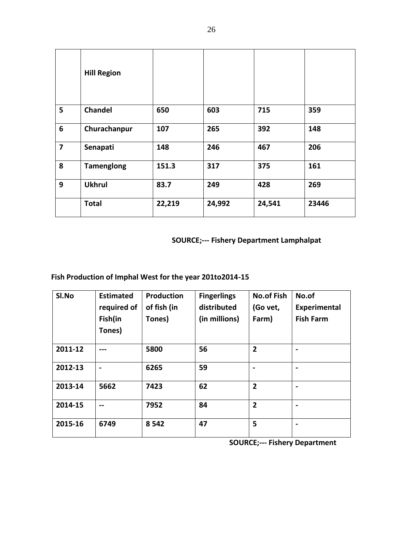|                         | <b>Hill Region</b> |        |        |        |       |
|-------------------------|--------------------|--------|--------|--------|-------|
| 5                       | <b>Chandel</b>     | 650    | 603    | 715    | 359   |
| 6                       | Churachanpur       | 107    | 265    | 392    | 148   |
| $\overline{\mathbf{z}}$ | Senapati           | 148    | 246    | 467    | 206   |
| 8                       | <b>Tamenglong</b>  | 151.3  | 317    | 375    | 161   |
| 9                       | <b>Ukhrul</b>      | 83.7   | 249    | 428    | 269   |
|                         | <b>Total</b>       | 22,219 | 24,992 | 24,541 | 23446 |

 **SOURCE;--- Fishery Department Lamphalpat**

### **Fish Production of Imphal West for the year 201to2014-15**

| SI.No   | <b>Estimated</b> | <b>Production</b> | <b>Fingerlings</b> | <b>No.of Fish</b> | No.of            |
|---------|------------------|-------------------|--------------------|-------------------|------------------|
|         | required of      | of fish (in       | distributed        | (Go vet,          | Experimental     |
|         | Fish(in          | Tones)            | (in millions)      | Farm)             | <b>Fish Farm</b> |
|         | Tones)           |                   |                    |                   |                  |
| 2011-12 |                  | 5800              | 56                 | $\overline{2}$    |                  |
| 2012-13 |                  | 6265              | 59                 | $\blacksquare$    |                  |
| 2013-14 | 5662             | 7423              | 62                 | $\overline{2}$    |                  |
| 2014-15 | --               | 7952              | 84                 | $\overline{2}$    |                  |
| 2015-16 | 6749             | 8 5 4 2           | 47                 | 5                 |                  |

 **SOURCE;--- Fishery Department**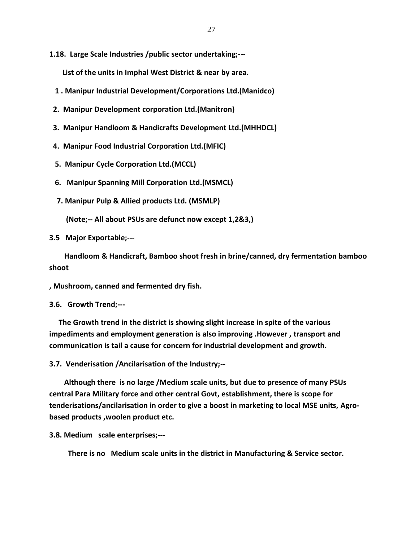**1.18. Large Scale Industries /public sector undertaking;---**

 **List of the units in Imphal West District & near by area.**

- **1 . Manipur Industrial Development/Corporations Ltd.(Manidco)**
- **2. Manipur Development corporation Ltd.(Manitron)**
- **3. Manipur Handloom & Handicrafts Development Ltd.(MHHDCL)**
- **4. Manipur Food Industrial Corporation Ltd.(MFIC)**
- **5. Manipur Cycle Corporation Ltd.(MCCL)**
- **6. Manipur Spanning Mill Corporation Ltd.(MSMCL)**
- **7. Manipur Pulp & Allied products Ltd. (MSMLP)**

 **(Note;-- All about PSUs are defunct now except 1,2&3,)**

**3.5 Major Exportable;---**

 **Handloom & Handicraft, Bamboo shoot fresh in brine/canned, dry fermentation bamboo shoot**

**, Mushroom, canned and fermented dry fish.**

**3.6. Growth Trend;---**

 **The Growth trend in the district is showing slight increase in spite of the various impediments and employment generation is also improving .However , transport and communication is tail a cause for concern for industrial development and growth.**

**3.7. Venderisation /Ancilarisation of the Industry;--**

 **Although there is no large /Medium scale units, but due to presence of many PSUs central Para Military force and other central Govt, establishment, there is scope for tenderisations/ancilarisation in order to give a boost in marketing to local MSE units, Agrobased products ,woolen product etc.**

**3.8. Medium scale enterprises;---**

 **There is no Medium scale units in the district in Manufacturing & Service sector.**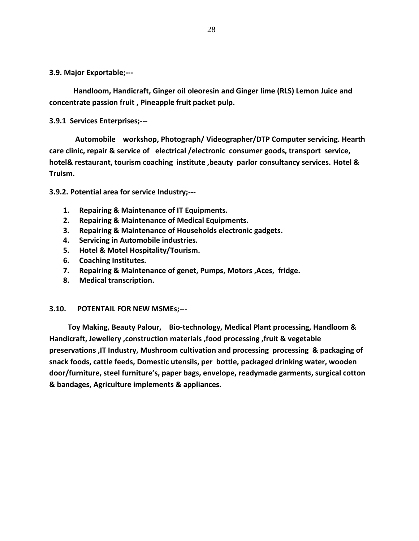**3.9. Major Exportable;---**

 **Handloom, Handicraft, Ginger oil oleoresin and Ginger lime (RLS) Lemon Juice and concentrate passion fruit , Pineapple fruit packet pulp.**

**3.9.1 Services Enterprises;---**

 **Automobile workshop, Photograph/ Videographer/DTP Computer servicing. Hearth care clinic, repair & service of electrical /electronic consumer goods, transport service, hotel& restaurant, tourism coaching institute ,beauty parlor consultancy services. Hotel & Truism.**

**3.9.2. Potential area for service Industry;---**

- **1. Repairing & Maintenance of IT Equipments.**
- **2. Repairing & Maintenance of Medical Equipments.**
- **3. Repairing & Maintenance of Households electronic gadgets.**
- **4. Servicing in Automobile industries.**
- **5. Hotel & Motel Hospitality/Tourism.**
- **6. Coaching Institutes.**
- **7. Repairing & Maintenance of genet, Pumps, Motors ,Aces, fridge.**
- **8. Medical transcription.**

#### **3.10. POTENTAIL FOR NEW MSMEs;---**

 **Toy Making, Beauty Palour, Bio-technology, Medical Plant processing, Handloom & Handicraft, Jewellery ,construction materials ,food processing ,fruit & vegetable preservations ,IT Industry, Mushroom cultivation and processing processing & packaging of snack foods, cattle feeds, Domestic utensils, per bottle, packaged drinking water, wooden door/furniture, steel furniture's, paper bags, envelope, readymade garments, surgical cotton & bandages, Agriculture implements & appliances.**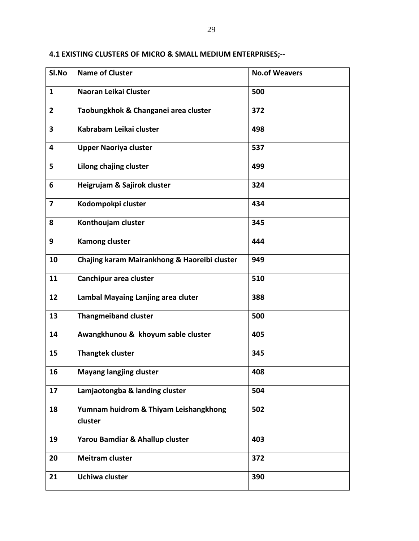| SI.No                   | <b>Name of Cluster</b>                           | <b>No.of Weavers</b> |
|-------------------------|--------------------------------------------------|----------------------|
| $\mathbf{1}$            | Naoran Leikai Cluster                            | 500                  |
| $\overline{2}$          | Taobungkhok & Changanei area cluster             | 372                  |
| $\overline{\mathbf{3}}$ | Kabrabam Leikai cluster                          | 498                  |
| 4                       | <b>Upper Naoriya cluster</b>                     | 537                  |
| 5                       | Lilong chajing cluster                           | 499                  |
| 6                       | Heigrujam & Sajirok cluster                      | 324                  |
| 7                       | Kodompokpi cluster                               | 434                  |
| 8                       | Konthoujam cluster                               | 345                  |
| 9                       | <b>Kamong cluster</b>                            | 444                  |
| 10                      | Chajing karam Mairankhong & Haoreibi cluster     | 949                  |
| 11                      | Canchipur area cluster                           | 510                  |
| 12                      | Lambal Mayaing Lanjing area cluter               | 388                  |
| 13                      | <b>Thangmeiband cluster</b>                      | 500                  |
| 14                      | Awangkhunou & khoyum sable cluster               | 405                  |
| 15                      | <b>Thangtek cluster</b>                          | 345                  |
| 16                      | <b>Mayang langjing cluster</b>                   | 408                  |
| 17                      | Lamjaotongba & landing cluster                   | 504                  |
| 18                      | Yumnam huidrom & Thiyam Leishangkhong<br>cluster | 502                  |
|                         |                                                  |                      |
| 19                      | Yarou Bamdiar & Ahallup cluster                  | 403                  |
| 20                      | <b>Meitram cluster</b>                           | 372                  |
| 21                      | Uchiwa cluster                                   | 390                  |

### **4.1 EXISTING CLUSTERS OF MICRO & SMALL MEDIUM ENTERPRISES;--**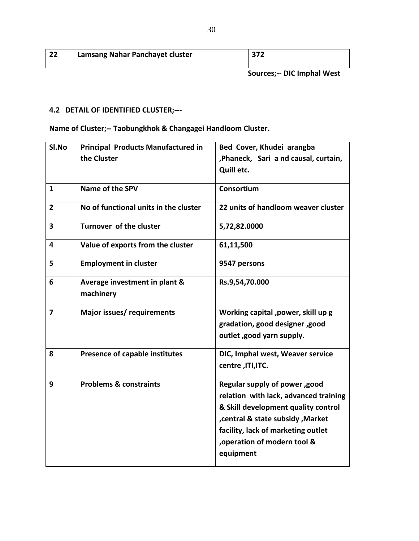| ຳາ<br>ሪረ | Lamsang Nahar Panchayet cluster | 372                                 |
|----------|---------------------------------|-------------------------------------|
|          |                                 | Correspondent DIC beautiful Milante |

#### **Sources;-- DIC Imphal West**

### **4.2 DETAIL OF IDENTIFIED CLUSTER;---**

**Name of Cluster;-- Taobungkhok & Changagei Handloom Cluster.**

| SI.No                   | <b>Principal Products Manufactured in</b>  | Bed Cover, Khudei arangba                                                                                                                                                                                                             |
|-------------------------|--------------------------------------------|---------------------------------------------------------------------------------------------------------------------------------------------------------------------------------------------------------------------------------------|
|                         | the Cluster                                | , Phaneck, Sari a nd causal, curtain,                                                                                                                                                                                                 |
|                         |                                            | Quill etc.                                                                                                                                                                                                                            |
| $\mathbf{1}$            | Name of the SPV                            | Consortium                                                                                                                                                                                                                            |
| $\overline{2}$          | No of functional units in the cluster      | 22 units of handloom weaver cluster                                                                                                                                                                                                   |
| $\overline{\mathbf{3}}$ | Turnover of the cluster                    | 5,72,82.0000                                                                                                                                                                                                                          |
| 4                       | Value of exports from the cluster          | 61,11,500                                                                                                                                                                                                                             |
| 5                       | <b>Employment in cluster</b>               | 9547 persons                                                                                                                                                                                                                          |
| 6                       | Average investment in plant &<br>machinery | Rs.9,54,70.000                                                                                                                                                                                                                        |
| $\overline{\mathbf{z}}$ | Major issues/ requirements                 | Working capital , power, skill up g<br>gradation, good designer, good                                                                                                                                                                 |
|                         |                                            | outlet, good yarn supply.                                                                                                                                                                                                             |
| 8                       | Presence of capable institutes             | DIC, Imphal west, Weaver service<br>centre, ITI, ITC.                                                                                                                                                                                 |
| 9                       | <b>Problems &amp; constraints</b>          | Regular supply of power, good<br>relation with lack, advanced training<br>& Skill development quality control<br>, central & state subsidy, Market<br>facility, lack of marketing outlet<br>, operation of modern tool &<br>equipment |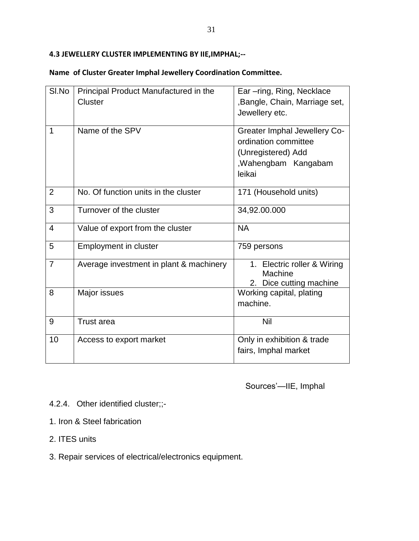### **4.3 JEWELLERY CLUSTER IMPLEMENTING BY IIE,IMPHAL;--**

|  |  | Name of Cluster Greater Imphal Jewellery Coordination Committee. |  |
|--|--|------------------------------------------------------------------|--|
|  |  |                                                                  |  |

| SI.No          | Principal Product Manufactured in the<br>Cluster | Ear-ring, Ring, Necklace<br>, Bangle, Chain, Marriage set,<br>Jewellery etc.                                        |
|----------------|--------------------------------------------------|---------------------------------------------------------------------------------------------------------------------|
| 1              | Name of the SPV                                  | <b>Greater Imphal Jewellery Co-</b><br>ordination committee<br>(Unregistered) Add<br>, Wahengbam Kangabam<br>leikai |
| $\overline{2}$ | No. Of function units in the cluster             | 171 (Household units)                                                                                               |
| 3              | Turnover of the cluster                          | 34,92.00.000                                                                                                        |
| $\overline{4}$ | Value of export from the cluster                 | <b>NA</b>                                                                                                           |
| 5              | <b>Employment in cluster</b>                     | 759 persons                                                                                                         |
| $\overline{7}$ | Average investment in plant & machinery          | 1. Electric roller & Wiring<br>Machine<br>2. Dice cutting machine                                                   |
| 8              | Major issues                                     | Working capital, plating<br>machine.                                                                                |
| 9              | <b>Trust area</b>                                | Nil                                                                                                                 |
| 10             | Access to export market                          | Only in exhibition & trade<br>fairs, Imphal market                                                                  |

Sources'—IIE, Imphal

- 4.2.4. Other identified cluster;;-
- 1. Iron & Steel fabrication
- 2. ITES units
- 3. Repair services of electrical/electronics equipment.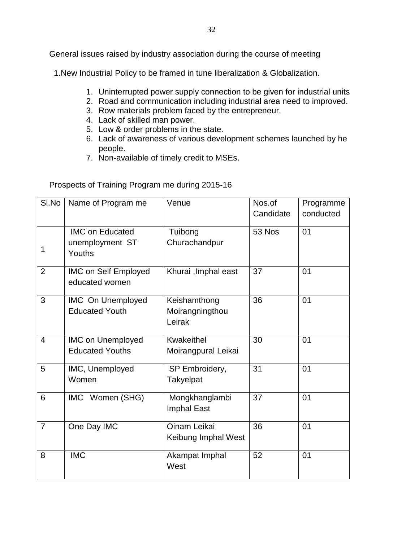General issues raised by industry association during the course of meeting

1.New Industrial Policy to be framed in tune liberalization & Globalization.

- 1. Uninterrupted power supply connection to be given for industrial units
- 2. Road and communication including industrial area need to improved.
- 3. Row materials problem faced by the entrepreneur.
- 4. Lack of skilled man power.
- 5. Low & order problems in the state.
- 6. Lack of awareness of various development schemes launched by he people.
- 7. Non-available of timely credit to MSEs.

### Prospects of Training Program me during 2015-16

| SI.No          | Name of Program me                                  | Venue                                     | Nos.of<br>Candidate | Programme<br>conducted |
|----------------|-----------------------------------------------------|-------------------------------------------|---------------------|------------------------|
| 1              | <b>IMC on Educated</b><br>unemployment ST<br>Youths | Tuibong<br>Churachandpur                  | 53 Nos              | 01                     |
| $\overline{2}$ | <b>IMC on Self Employed</b><br>educated women       | Khurai, Imphal east                       | 37                  | 01                     |
| 3              | <b>IMC</b> On Unemployed<br><b>Educated Youth</b>   | Keishamthong<br>Moirangningthou<br>Leirak | 36                  | 01                     |
| $\overline{4}$ | <b>IMC on Unemployed</b><br><b>Educated Youths</b>  | Kwakeithel<br>Moirangpural Leikai         | 30                  | 01                     |
| 5              | IMC, Unemployed<br>Women                            | SP Embroidery,<br><b>Takyelpat</b>        | 31                  | 01                     |
| 6              | IMC Women (SHG)                                     | Mongkhanglambi<br><b>Imphal East</b>      | 37                  | 01                     |
| 7              | One Day IMC                                         | Oinam Leikai<br>Keibung Imphal West       | 36                  | 01                     |
| 8              | <b>IMC</b>                                          | Akampat Imphal<br>West                    | 52                  | 01                     |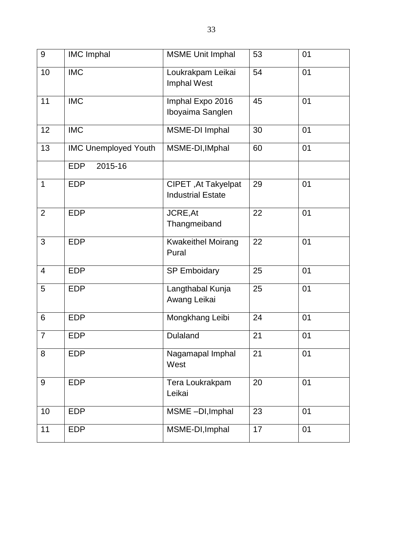| $\boldsymbol{9}$ | <b>IMC Imphal</b>           | <b>MSME Unit Imphal</b>                         | 53 | 01 |
|------------------|-----------------------------|-------------------------------------------------|----|----|
| 10               | <b>IMC</b>                  | Loukrakpam Leikai<br>Imphal West                | 54 | 01 |
| 11               | <b>IMC</b>                  | Imphal Expo 2016<br>Iboyaima Sanglen            | 45 | 01 |
| 12               | <b>IMC</b>                  | MSME-DI Imphal                                  | 30 | 01 |
| 13               | <b>IMC Unemployed Youth</b> | MSME-DI, IMphal                                 | 60 | 01 |
|                  | 2015-16<br><b>EDP</b>       |                                                 |    |    |
| $\mathbf{1}$     | <b>EDP</b>                  | CIPET, At Takyelpat<br><b>Industrial Estate</b> | 29 | 01 |
| $\overline{2}$   | <b>EDP</b>                  | JCRE, At<br>Thangmeiband                        | 22 | 01 |
| 3                | <b>EDP</b>                  | <b>Kwakeithel Moirang</b><br>Pural              | 22 | 01 |
| 4                | <b>EDP</b>                  | <b>SP Emboidary</b>                             | 25 | 01 |
| 5                | <b>EDP</b>                  | Langthabal Kunja<br>Awang Leikai                | 25 | 01 |
| 6                | <b>EDP</b>                  | Mongkhang Leibi                                 | 24 | 01 |
| $\overline{7}$   | <b>EDP</b>                  | <b>Dulaland</b>                                 | 21 | 01 |
| 8                | <b>EDP</b>                  | Nagamapal Imphal<br>West                        | 21 | 01 |
| 9                | <b>EDP</b>                  | Tera Loukrakpam<br>Leikai                       | 20 | 01 |
| 10               | <b>EDP</b>                  | MSME-DI, Imphal                                 | 23 | 01 |
| 11               | <b>EDP</b>                  | MSME-DI, Imphal                                 | 17 | 01 |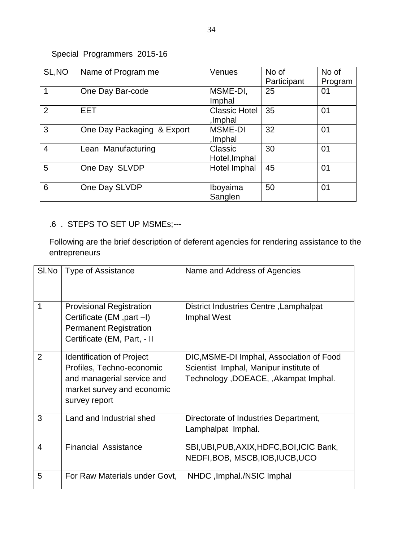# Special Programmers 2015-16

| SL, NO         | Name of Program me         | Venues                          | No of<br>Participant | No of<br>Program |
|----------------|----------------------------|---------------------------------|----------------------|------------------|
| 1              | One Day Bar-code           | MSME-DI,<br>Imphal              | 25                   | 01               |
| 2              | <b>EET</b>                 | <b>Classic Hotel</b><br>,Imphal | 35                   | 01               |
| 3              | One Day Packaging & Export | <b>MSME-DI</b><br>Imphal,       | 32                   | 01               |
| $\overline{4}$ | Lean Manufacturing         | Classic<br>Hotel, Imphal        | 30                   | 01               |
| 5              | One Day SLVDP              | Hotel Imphal                    | 45                   | 01               |
| 6              | One Day SLVDP              | Iboyaima<br>Sanglen             | 50                   | 01               |

# .6 . STEPS TO SET UP MSMEs;---

Following are the brief description of deferent agencies for rendering assistance to the entrepreneurs

| SI.No | <b>Type of Assistance</b>                                                                                                                  | Name and Address of Agencies                                                                                                |
|-------|--------------------------------------------------------------------------------------------------------------------------------------------|-----------------------------------------------------------------------------------------------------------------------------|
| 1     | <b>Provisional Registration</b><br>Certificate (EM, part -I)<br><b>Permanent Registration</b><br>Certificate (EM, Part, - II               | District Industries Centre, Lamphalpat<br>Imphal West                                                                       |
| 2     | <b>Identification of Project</b><br>Profiles, Techno-economic<br>and managerial service and<br>market survey and economic<br>survey report | DIC, MSME-DI Imphal, Association of Food<br>Scientist Imphal, Manipur institute of<br>Technology, DOEACE, , Akampat Imphal. |
| 3     | Land and Industrial shed                                                                                                                   | Directorate of Industries Department,<br>Lamphalpat Imphal.                                                                 |
| 4     | <b>Financial Assistance</b>                                                                                                                | SBI, UBI, PUB, AXIX, HDFC, BOI, ICIC Bank,<br>NEDFI, BOB, MSCB, IOB, IUCB, UCO                                              |
| 5     | For Raw Materials under Govt,                                                                                                              | NHDC, Imphal./NSIC Imphal                                                                                                   |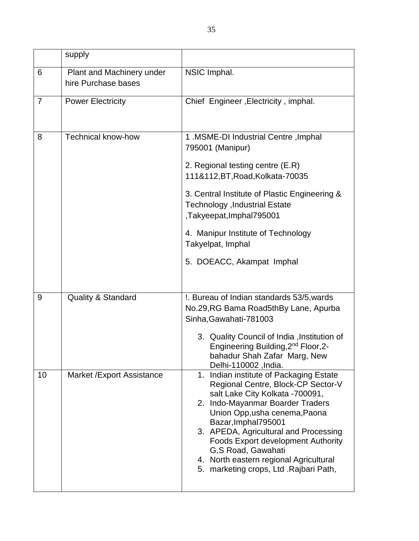|                | supply                                           |                                                                                                                                                                                                                                                                                                                                                                                                               |
|----------------|--------------------------------------------------|---------------------------------------------------------------------------------------------------------------------------------------------------------------------------------------------------------------------------------------------------------------------------------------------------------------------------------------------------------------------------------------------------------------|
| 6              | Plant and Machinery under<br>hire Purchase bases | NSIC Imphal.                                                                                                                                                                                                                                                                                                                                                                                                  |
| $\overline{7}$ | <b>Power Electricity</b>                         | Chief Engineer, Electricity, imphal.                                                                                                                                                                                                                                                                                                                                                                          |
| 8              | <b>Technical know-how</b>                        | 1. MSME-DI Industrial Centre, Imphal<br>795001 (Manipur)<br>2. Regional testing centre (E.R)<br>111&112, BT, Road, Kolkata-70035<br>3. Central Institute of Plastic Engineering &<br>Technology , Industrial Estate<br>Takyeepat, Imphal795001,<br>4. Manipur Institute of Technology<br>Takyelpat, Imphal<br>5. DOEACC, Akampat Imphal                                                                       |
| 9              | <b>Quality &amp; Standard</b>                    | !. Bureau of Indian standards 53/5, wards<br>No.29, RG Bama Road5th By Lane, Apurba<br>Sinha, Gawahati-781003<br>3. Quality Council of India, Institution of<br>Engineering Building, 2 <sup>nd</sup> Floor, 2-<br>bahadur Shah Zafar Marg, New<br>Delhi-110002, India.                                                                                                                                       |
| 10             | Market / Export Assistance                       | 1. Indian institute of Packaging Estate<br>Regional Centre, Block-CP Sector-V<br>salt Lake City Kolkata -700091,<br>2. Indo-Mayanmar Boarder Traders<br>Union Opp, usha cenema, Paona<br>Bazar, Imphal795001<br>3. APEDA, Agricultural and Processing<br><b>Foods Export development Authority</b><br>G,S Road, Gawahati<br>4. North eastern regional Agricultural<br>5. marketing crops, Ltd . Rajbari Path, |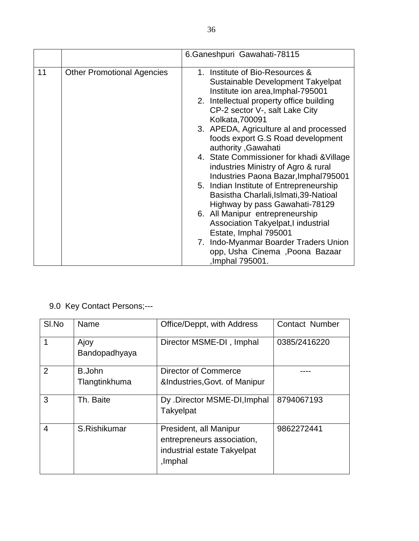|    |                                   | 6.Ganeshpuri Gawahati-78115                                                                                                                                                                                |
|----|-----------------------------------|------------------------------------------------------------------------------------------------------------------------------------------------------------------------------------------------------------|
| 11 | <b>Other Promotional Agencies</b> | 1. Institute of Bio-Resources &<br>Sustainable Development Takyelpat<br>Institute ion area, Imphal-795001<br>2. Intellectual property office building<br>CP-2 sector V-, salt Lake City<br>Kolkata, 700091 |
|    |                                   | 3. APEDA, Agriculture al and processed<br>foods export G.S Road development<br>authority , Gawahati                                                                                                        |
|    |                                   | 4. State Commissioner for khadi & Village<br>industries Ministry of Agro & rural<br>Industries Paona Bazar, Imphal795001                                                                                   |
|    |                                   | 5. Indian Institute of Entrepreneurship<br>Basistha Charlali, Islmati, 39-Natioal<br>Highway by pass Gawahati-78129                                                                                        |
|    |                                   | 6. All Manipur entrepreneurship<br>Association Takyelpat, I industrial<br>Estate, Imphal 795001                                                                                                            |
|    |                                   | 7. Indo-Myanmar Boarder Traders Union<br>opp, Usha Cinema, Poona Bazaar<br>,Imphal 795001.                                                                                                                 |

# 9.0 Key Contact Persons;---

| SI.No | Name                    | Office/Deppt, with Address                                                                     | <b>Contact Number</b> |
|-------|-------------------------|------------------------------------------------------------------------------------------------|-----------------------|
| 1     | Ajoy<br>Bandopadhyaya   | Director MSME-DI, Imphal                                                                       | 0385/2416220          |
| 2     | B.John<br>Tlangtinkhuma | Director of Commerce<br>&Industries, Govt. of Manipur                                          |                       |
| 3     | Th. Baite               | Dy .Director MSME-DI, Imphal<br><b>Takyelpat</b>                                               | 8794067193            |
| 4     | S.Rishikumar            | President, all Manipur<br>entrepreneurs association,<br>industrial estate Takyelpat<br>,Imphal | 9862272441            |